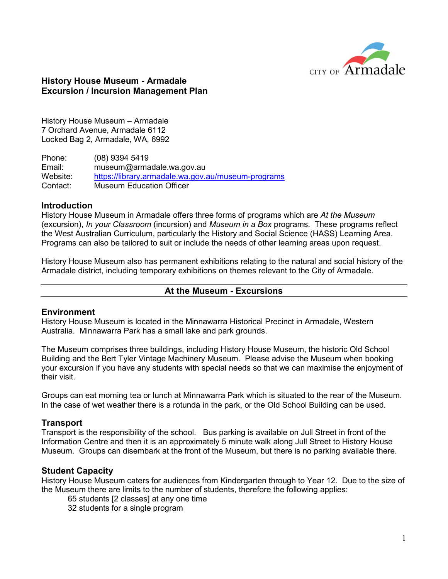

## **History House Museum - Armadale Excursion / Incursion Management Plan**

History House Museum – Armadale 7 Orchard Avenue, Armadale 6112 Locked Bag 2, Armadale, WA, 6992

Phone: (08) 9394 5419 Email: museum@armadale.wa.gov.au Website: <https://library.armadale.wa.gov.au/museum-programs> Contact: Museum Education Officer

## **Introduction**

History House Museum in Armadale offers three forms of programs which are *At the Museum* (excursion), *In your Classroom* (incursion) and *Museum in a Box* programs. These programs reflect the West Australian Curriculum, particularly the History and Social Science (HASS) Learning Area. Programs can also be tailored to suit or include the needs of other learning areas upon request.

History House Museum also has permanent exhibitions relating to the natural and social history of the Armadale district, including temporary exhibitions on themes relevant to the City of Armadale.

#### **At the Museum - Excursions**

#### **Environment**

History House Museum is located in the Minnawarra Historical Precinct in Armadale, Western Australia. Minnawarra Park has a small lake and park grounds.

The Museum comprises three buildings, including History House Museum, the historic Old School Building and the Bert Tyler Vintage Machinery Museum. Please advise the Museum when booking your excursion if you have any students with special needs so that we can maximise the enjoyment of their visit.

Groups can eat morning tea or lunch at Minnawarra Park which is situated to the rear of the Museum. In the case of wet weather there is a rotunda in the park, or the Old School Building can be used.

#### **Transport**

Transport is the responsibility of the school. Bus parking is available on Jull Street in front of the Information Centre and then it is an approximately 5 minute walk along Jull Street to History House Museum. Groups can disembark at the front of the Museum, but there is no parking available there.

#### **Student Capacity**

History House Museum caters for audiences from Kindergarten through to Year 12. Due to the size of the Museum there are limits to the number of students, therefore the following applies:

- 65 students [2 classes] at any one time
- 32 students for a single program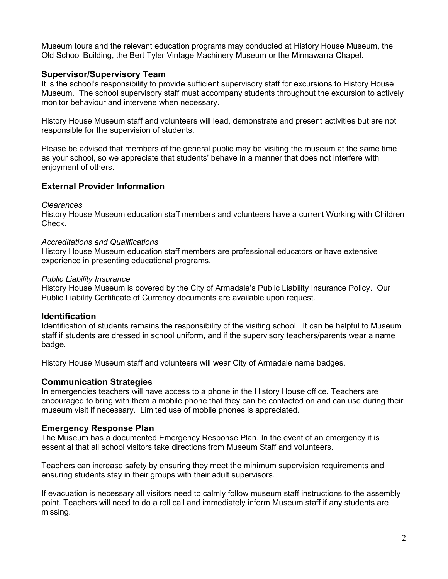Museum tours and the relevant education programs may conducted at History House Museum, the Old School Building, the Bert Tyler Vintage Machinery Museum or the Minnawarra Chapel.

## **Supervisor/Supervisory Team**

It is the school's responsibility to provide sufficient supervisory staff for excursions to History House Museum. The school supervisory staff must accompany students throughout the excursion to actively monitor behaviour and intervene when necessary.

History House Museum staff and volunteers will lead, demonstrate and present activities but are not responsible for the supervision of students.

Please be advised that members of the general public may be visiting the museum at the same time as your school, so we appreciate that students' behave in a manner that does not interfere with enjoyment of others.

# **External Provider Information**

#### *Clearances*

History House Museum education staff members and volunteers have a current Working with Children Check.

#### *Accreditations and Qualifications*

History House Museum education staff members are professional educators or have extensive experience in presenting educational programs.

#### *Public Liability Insurance*

History House Museum is covered by the City of Armadale's Public Liability Insurance Policy. Our Public Liability Certificate of Currency documents are available upon request.

## **Identification**

Identification of students remains the responsibility of the visiting school. It can be helpful to Museum staff if students are dressed in school uniform, and if the supervisory teachers/parents wear a name badge.

History House Museum staff and volunteers will wear City of Armadale name badges.

## **Communication Strategies**

In emergencies teachers will have access to a phone in the History House office. Teachers are encouraged to bring with them a mobile phone that they can be contacted on and can use during their museum visit if necessary. Limited use of mobile phones is appreciated.

## **Emergency Response Plan**

The Museum has a documented Emergency Response Plan. In the event of an emergency it is essential that all school visitors take directions from Museum Staff and volunteers.

Teachers can increase safety by ensuring they meet the minimum supervision requirements and ensuring students stay in their groups with their adult supervisors.

If evacuation is necessary all visitors need to calmly follow museum staff instructions to the assembly point. Teachers will need to do a roll call and immediately inform Museum staff if any students are missing.